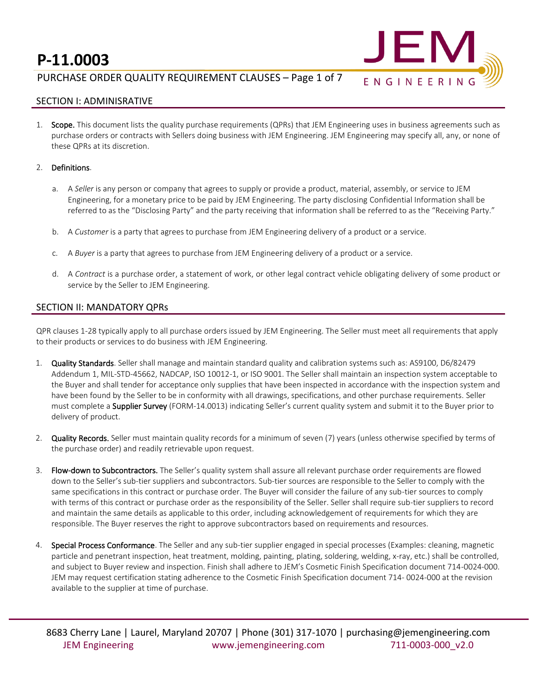

## PURCHASE ORDER QUALITY REQUIREMENT CLAUSES – Page 1 of 7

## SECTION I: ADMINISRATIVE

1. Scope. This document lists the quality purchase requirements (QPRs) that JEM Engineering uses in business agreements such as purchase orders or contracts with Sellers doing business with JEM Engineering. JEM Engineering may specify all, any, or none of these QPRs at its discretion.

#### 2. Definitions.

- a. A *Seller* is any person or company that agrees to supply or provide a product, material, assembly, or service to JEM Engineering, for a monetary price to be paid by JEM Engineering. The party disclosing Confidential Information shall be referred to as the "Disclosing Party" and the party receiving that information shall be referred to as the "Receiving Party."
- b. A *Customer* is a party that agrees to purchase from JEM Engineering delivery of a product or a service.
- c. A *Buyer* is a party that agrees to purchase from JEM Engineering delivery of a product or a service.
- d. A *Contract* is a purchase order, a statement of work, or other legal contract vehicle obligating delivery of some product or service by the Seller to JEM Engineering.

#### SECTION II: MANDATORY QPRs

QPR clauses 1-28 typically apply to all purchase orders issued by JEM Engineering. The Seller must meet all requirements that apply to their products or services to do business with JEM Engineering.

- 1. Quality Standards. Seller shall manage and maintain standard quality and calibration systems such as: AS9100, D6/82479 Addendum 1, MIL-STD-45662, NADCAP, ISO 10012-1, or ISO 9001. The Seller shall maintain an inspection system acceptable to the Buyer and shall tender for acceptance only supplies that have been inspected in accordance with the inspection system and have been found by the Seller to be in conformity with all drawings, specifications, and other purchase requirements. Seller must complete a Supplier Survey (FORM-14.0013) indicating Seller's current quality system and submit it to the Buyer prior to delivery of product.
- 2. Quality Records. Seller must maintain quality records for a minimum of seven (7) years (unless otherwise specified by terms of the purchase order) and readily retrievable upon request.
- 3. Flow-down to Subcontractors. The Seller's quality system shall assure all relevant purchase order requirements are flowed down to the Seller's sub-tier suppliers and subcontractors. Sub-tier sources are responsible to the Seller to comply with the same specifications in this contract or purchase order. The Buyer will consider the failure of any sub-tier sources to comply with terms of this contract or purchase order as the responsibility of the Seller. Seller shall require sub-tier suppliers to record and maintain the same details as applicable to this order, including acknowledgement of requirements for which they are responsible. The Buyer reserves the right to approve subcontractors based on requirements and resources.
- 4. Special Process Conformance. The Seller and any sub-tier supplier engaged in special processes (Examples: cleaning, magnetic particle and penetrant inspection, heat treatment, molding, painting, plating, soldering, welding, x-ray, etc.) shall be controlled, and subject to Buyer review and inspection. Finish shall adhere to JEM's Cosmetic Finish Specification document 714-0024-000. JEM may request certification stating adherence to the Cosmetic Finish Specification document 714- 0024-000 at the revision available to the supplier at time of purchase.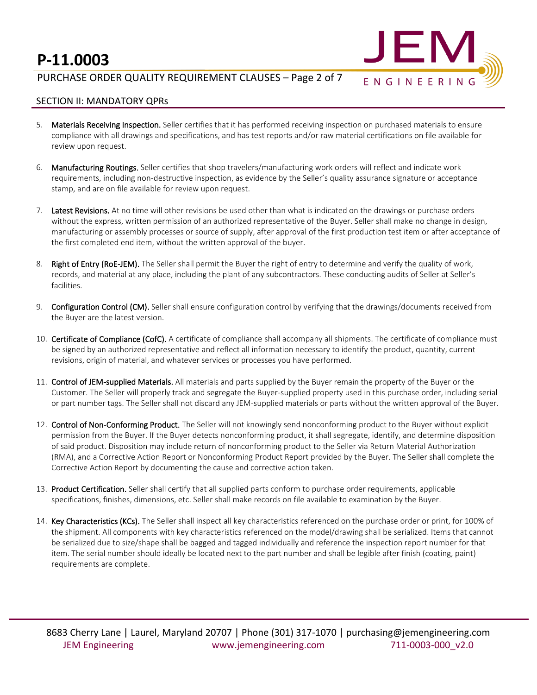

## PURCHASE ORDER QUALITY REQUIREMENT CLAUSES – Page 2 of 7

### SECTION II: MANDATORY QPRs

- 5. Materials Receiving Inspection. Seller certifies that it has performed receiving inspection on purchased materials to ensure compliance with all drawings and specifications, and has test reports and/or raw material certifications on file available for review upon request.
- 6. Manufacturing Routings. Seller certifies that shop travelers/manufacturing work orders will reflect and indicate work requirements, including non-destructive inspection, as evidence by the Seller's quality assurance signature or acceptance stamp, and are on file available for review upon request.
- 7. Latest Revisions. At no time will other revisions be used other than what is indicated on the drawings or purchase orders without the express, written permission of an authorized representative of the Buyer. Seller shall make no change in design, manufacturing or assembly processes or source of supply, after approval of the first production test item or after acceptance of the first completed end item, without the written approval of the buyer.
- 8. Right of Entry (RoE-JEM). The Seller shall permit the Buyer the right of entry to determine and verify the quality of work, records, and material at any place, including the plant of any subcontractors. These conducting audits of Seller at Seller's facilities.
- 9. Configuration Control (CM). Seller shall ensure configuration control by verifying that the drawings/documents received from the Buyer are the latest version.
- 10. Certificate of Compliance (CofC). A certificate of compliance shall accompany all shipments. The certificate of compliance must be signed by an authorized representative and reflect all information necessary to identify the product, quantity, current revisions, origin of material, and whatever services or processes you have performed.
- 11. Control of JEM-supplied Materials. All materials and parts supplied by the Buyer remain the property of the Buyer or the Customer. The Seller will properly track and segregate the Buyer-supplied property used in this purchase order, including serial or part number tags. The Seller shall not discard any JEM-supplied materials or parts without the written approval of the Buyer.
- 12. Control of Non-Conforming Product. The Seller will not knowingly send nonconforming product to the Buyer without explicit permission from the Buyer. If the Buyer detects nonconforming product, it shall segregate, identify, and determine disposition of said product. Disposition may include return of nonconforming product to the Seller via Return Material Authorization (RMA), and a Corrective Action Report or Nonconforming Product Report provided by the Buyer. The Seller shall complete the Corrective Action Report by documenting the cause and corrective action taken.
- 13. Product Certification. Seller shall certify that all supplied parts conform to purchase order requirements, applicable specifications, finishes, dimensions, etc. Seller shall make records on file available to examination by the Buyer.
- 14. Key Characteristics (KCs). The Seller shall inspect all key characteristics referenced on the purchase order or print, for 100% of the shipment. All components with key characteristics referenced on the model/drawing shall be serialized. Items that cannot be serialized due to size/shape shall be bagged and tagged individually and reference the inspection report number for that item. The serial number should ideally be located next to the part number and shall be legible after finish (coating, paint) requirements are complete.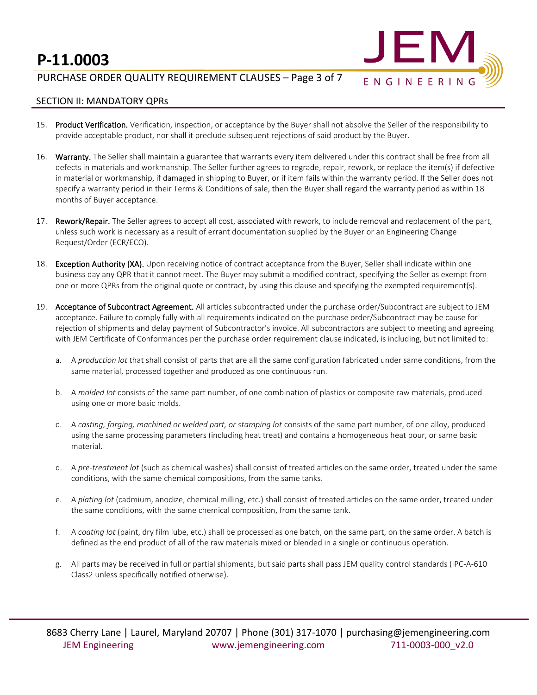## PURCHASE ORDER QUALITY REQUIREMENT CLAUSES – Page 3 of 7



### SECTION II: MANDATORY QPRs

- 15. Product Verification. Verification, inspection, or acceptance by the Buyer shall not absolve the Seller of the responsibility to provide acceptable product, nor shall it preclude subsequent rejections of said product by the Buyer.
- 16. Warranty. The Seller shall maintain a guarantee that warrants every item delivered under this contract shall be free from all defects in materials and workmanship. The Seller further agrees to regrade, repair, rework, or replace the item(s) if defective in material or workmanship, if damaged in shipping to Buyer, or if item fails within the warranty period. If the Seller does not specify a warranty period in their Terms & Conditions of sale, then the Buyer shall regard the warranty period as within 18 months of Buyer acceptance.
- 17. Rework/Repair. The Seller agrees to accept all cost, associated with rework, to include removal and replacement of the part, unless such work is necessary as a result of errant documentation supplied by the Buyer or an Engineering Change Request/Order (ECR/ECO).
- 18. Exception Authority (XA). Upon receiving notice of contract acceptance from the Buyer, Seller shall indicate within one business day any QPR that it cannot meet. The Buyer may submit a modified contract, specifying the Seller as exempt from one or more QPRs from the original quote or contract, by using this clause and specifying the exempted requirement(s).
- 19. Acceptance of Subcontract Agreement. All articles subcontracted under the purchase order/Subcontract are subject to JEM acceptance. Failure to comply fully with all requirements indicated on the purchase order/Subcontract may be cause for rejection of shipments and delay payment of Subcontractor's invoice. All subcontractors are subject to meeting and agreeing with JEM Certificate of Conformances per the purchase order requirement clause indicated, is including, but not limited to:
	- a. A *production lot* that shall consist of parts that are all the same configuration fabricated under same conditions, from the same material, processed together and produced as one continuous run.
	- b. A *molded lot* consists of the same part number, of one combination of plastics or composite raw materials, produced using one or more basic molds.
	- c. A *casting, forging, machined or welded part, or stamping lot* consists of the same part number, of one alloy, produced using the same processing parameters (including heat treat) and contains a homogeneous heat pour, or same basic material.
	- d. A *pre-treatment lot* (such as chemical washes) shall consist of treated articles on the same order, treated under the same conditions, with the same chemical compositions, from the same tanks.
	- e. A *plating lot* (cadmium, anodize, chemical milling, etc.) shall consist of treated articles on the same order, treated under the same conditions, with the same chemical composition, from the same tank.
	- f. A *coating lot* (paint, dry film lube, etc.) shall be processed as one batch, on the same part, on the same order. A batch is defined as the end product of all of the raw materials mixed or blended in a single or continuous operation.
	- g. All parts may be received in full or partial shipments, but said parts shall pass JEM quality control standards (IPC-A-610 Class2 unless specifically notified otherwise).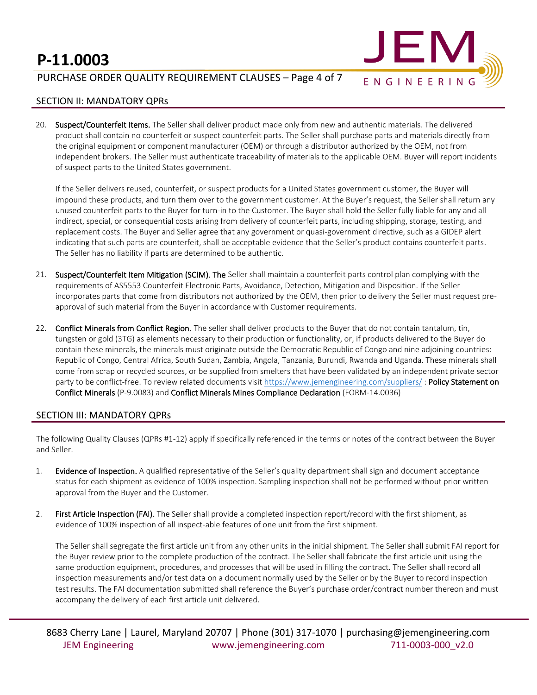## PURCHASE ORDER QUALITY REQUIREMENT CLAUSES – Page 4 of 7



#### SECTION II: MANDATORY QPRs

20. Suspect/Counterfeit Items. The Seller shall deliver product made only from new and authentic materials. The delivered product shall contain no counterfeit or suspect counterfeit parts. The Seller shall purchase parts and materials directly from the original equipment or component manufacturer (OEM) or through a distributor authorized by the OEM, not from independent brokers. The Seller must authenticate traceability of materials to the applicable OEM. Buyer will report incidents of suspect parts to the United States government.

If the Seller delivers reused, counterfeit, or suspect products for a United States government customer, the Buyer will impound these products, and turn them over to the government customer. At the Buyer's request, the Seller shall return any unused counterfeit parts to the Buyer for turn-in to the Customer. The Buyer shall hold the Seller fully liable for any and all indirect, special, or consequential costs arising from delivery of counterfeit parts, including shipping, storage, testing, and replacement costs. The Buyer and Seller agree that any government or quasi-government directive, such as a GIDEP alert indicating that such parts are counterfeit, shall be acceptable evidence that the Seller's product contains counterfeit parts. The Seller has no liability if parts are determined to be authentic.

- 21. Suspect/Counterfeit Item Mitigation (SCIM). The Seller shall maintain a counterfeit parts control plan complying with the requirements of AS5553 Counterfeit Electronic Parts, Avoidance, Detection, Mitigation and Disposition. If the Seller incorporates parts that come from distributors not authorized by the OEM, then prior to delivery the Seller must request preapproval of such material from the Buyer in accordance with Customer requirements.
- 22. Conflict Minerals from Conflict Region. The seller shall deliver products to the Buyer that do not contain tantalum, tin, tungsten or gold (3TG) as elements necessary to their production or functionality, or, if products delivered to the Buyer do contain these minerals, the minerals must originate outside the Democratic Republic of Congo and nine adjoining countries: Republic of Congo, Central Africa, South Sudan, Zambia, Angola, Tanzania, Burundi, Rwanda and Uganda. These minerals shall come from scrap or recycled sources, or be supplied from smelters that have been validated by an independent private sector party to be conflict-free. To review related documents visit <https://www.jemengineering.com/suppliers/>: Policy Statement on Conflict Minerals (P-9.0083) and Conflict Minerals Mines Compliance Declaration (FORM-14.0036)

### SECTION III: MANDATORY QPRs

The following Quality Clauses (QPRs #1-12) apply if specifically referenced in the terms or notes of the contract between the Buyer and Seller.

- 1. Evidence of Inspection. A qualified representative of the Seller's quality department shall sign and document acceptance status for each shipment as evidence of 100% inspection. Sampling inspection shall not be performed without prior written approval from the Buyer and the Customer.
- 2. First Article Inspection (FAI). The Seller shall provide a completed inspection report/record with the first shipment, as evidence of 100% inspection of all inspect-able features of one unit from the first shipment.

The Seller shall segregate the first article unit from any other units in the initial shipment. The Seller shall submit FAI report for the Buyer review prior to the complete production of the contract. The Seller shall fabricate the first article unit using the same production equipment, procedures, and processes that will be used in filling the contract. The Seller shall record all inspection measurements and/or test data on a document normally used by the Seller or by the Buyer to record inspection test results. The FAI documentation submitted shall reference the Buyer's purchase order/contract number thereon and must accompany the delivery of each first article unit delivered.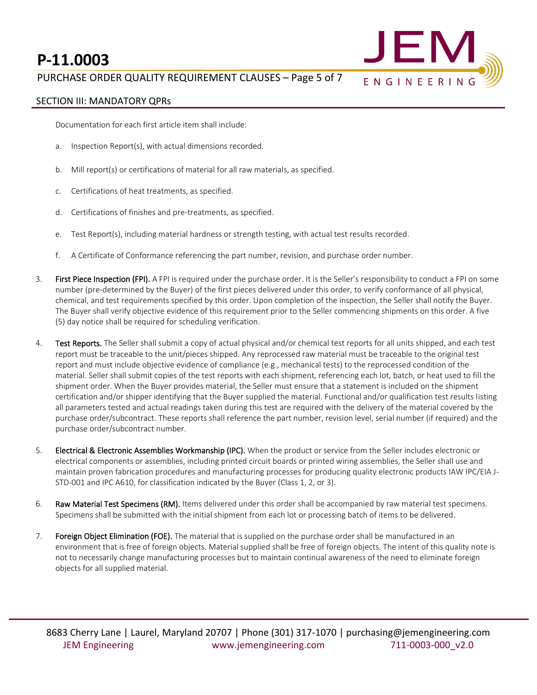

## PURCHASE ORDER QUALITY REQUIREMENT CLAUSES – Page 5 of 7

## SECTION III: MANDATORY QPRs

Documentation for each first article item shall include:

- a. Inspection Report(s), with actual dimensions recorded.
- b. Mill report(s) or certifications of material for all raw materials, as specified.
- c. Certifications of heat treatments, as specified.
- d. Certifications of finishes and pre-treatments, as specified.
- e. Test Report(s), including material hardness or strength testing, with actual test results recorded.
- f. A Certificate of Conformance referencing the part number, revision, and purchase order number.
- 3. First Piece Inspection (FPI). A FPI is required under the purchase order. It is the Seller's responsibility to conduct a FPI on some number (pre-determined by the Buyer) of the first pieces delivered under this order, to verify conformance of all physical, chemical, and test requirements specified by this order. Upon completion of the inspection, the Seller shall notify the Buyer. The Buyer shall verify objective evidence of this requirement prior to the Seller commencing shipments on this order. A five (5) day notice shall be required for scheduling verification.
- 4. Test Reports. The Seller shall submit a copy of actual physical and/or chemical test reports for all units shipped, and each test report must be traceable to the unit/pieces shipped. Any reprocessed raw material must be traceable to the original test report and must include objective evidence of compliance (e.g., mechanical tests) to the reprocessed condition of the material. Seller shall submit copies of the test reports with each shipment, referencing each lot, batch, or heat used to fill the shipment order. When the Buyer provides material, the Seller must ensure that a statement is included on the shipment certification and/or shipper identifying that the Buyer supplied the material. Functional and/or qualification test results listing all parameters tested and actual readings taken during this test are required with the delivery of the material covered by the purchase order/subcontract. These reports shall reference the part number, revision level, serial number (if required) and the purchase order/subcontract number.
- 5. Electrical & Electronic Assemblies Workmanship (IPC). When the product or service from the Seller includes electronic or electrical components or assemblies, including printed circuit boards or printed wiring assemblies, the Seller shall use and maintain proven fabrication procedures and manufacturing processes for producing quality electronic products IAW IPC/EIA J-STD-001 and IPC A610, for classification indicated by the Buyer (Class 1, 2, or 3).
- 6. Raw Material Test Specimens (RM). Items delivered under this order shall be accompanied by raw material test specimens. Specimens shall be submitted with the initial shipment from each lot or processing batch of items to be delivered.
- 7. Foreign Object Elimination (FOE). The material that is supplied on the purchase order shall be manufactured in an environment that is free of foreign objects. Material supplied shall be free of foreign objects. The intent of this quality note is not to necessarily change manufacturing processes but to maintain continual awareness of the need to eliminate foreign objects for all supplied material.